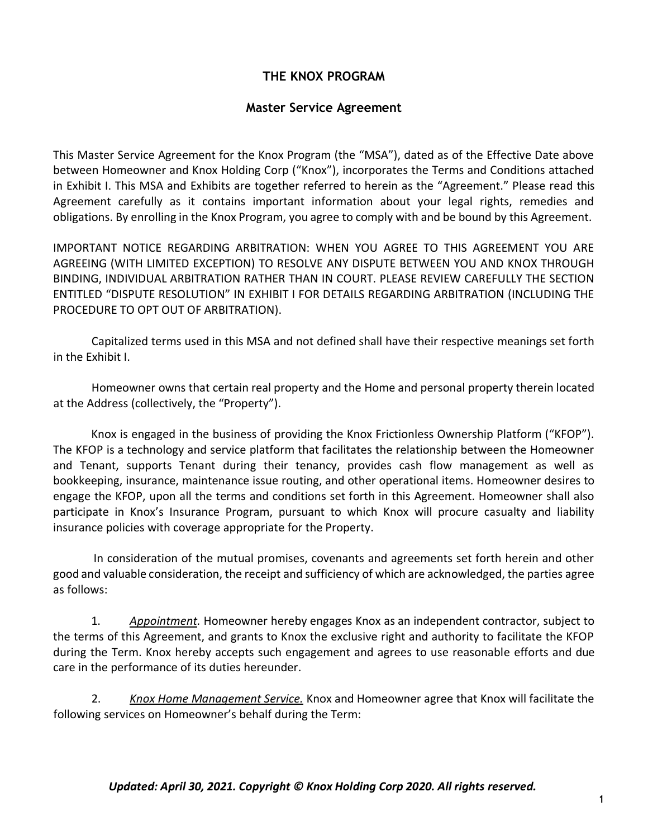### **THE KNOX PROGRAM**

#### **Master Service Agreement**

This Master Service Agreement for the Knox Program (the "MSA"), dated as of the Effective Date above between Homeowner and Knox Holding Corp ("Knox"), incorporates the Terms and Conditions attached in Exhibit I. This MSA and Exhibits are together referred to herein as the "Agreement." Please read this Agreement carefully as it contains important information about your legal rights, remedies and obligations. By enrolling in the Knox Program, you agree to comply with and be bound by this Agreement.

IMPORTANT NOTICE REGARDING ARBITRATION: WHEN YOU AGREE TO THIS AGREEMENT YOU ARE AGREEING (WITH LIMITED EXCEPTION) TO RESOLVE ANY DISPUTE BETWEEN YOU AND KNOX THROUGH BINDING, INDIVIDUAL ARBITRATION RATHER THAN IN COURT. PLEASE REVIEW CAREFULLY THE SECTION ENTITLED "DISPUTE RESOLUTION" IN EXHIBIT I FOR DETAILS REGARDING ARBITRATION (INCLUDING THE PROCEDURE TO OPT OUT OF ARBITRATION).

Capitalized terms used in this MSA and not defined shall have their respective meanings set forth in the Exhibit I.

Homeowner owns that certain real property and the Home and personal property therein located at the Address (collectively, the "Property").

Knox is engaged in the business of providing the Knox Frictionless Ownership Platform ("KFOP"). The KFOP is a technology and service platform that facilitates the relationship between the Homeowner and Tenant, supports Tenant during their tenancy, provides cash flow management as well as bookkeeping, insurance, maintenance issue routing, and other operational items. Homeowner desires to engage the KFOP, upon all the terms and conditions set forth in this Agreement. Homeowner shall also participate in Knox's Insurance Program, pursuant to which Knox will procure casualty and liability insurance policies with coverage appropriate for the Property.

In consideration of the mutual promises, covenants and agreements set forth herein and other good and valuable consideration, the receipt and sufficiency of which are acknowledged, the parties agree as follows:

1. *Appointment.* Homeowner hereby engages Knox as an independent contractor, subject to the terms of this Agreement, and grants to Knox the exclusive right and authority to facilitate the KFOP during the Term. Knox hereby accepts such engagement and agrees to use reasonable efforts and due care in the performance of its duties hereunder.

2. *Knox Home Management Service.* Knox and Homeowner agree that Knox will facilitate the following services on Homeowner's behalf during the Term: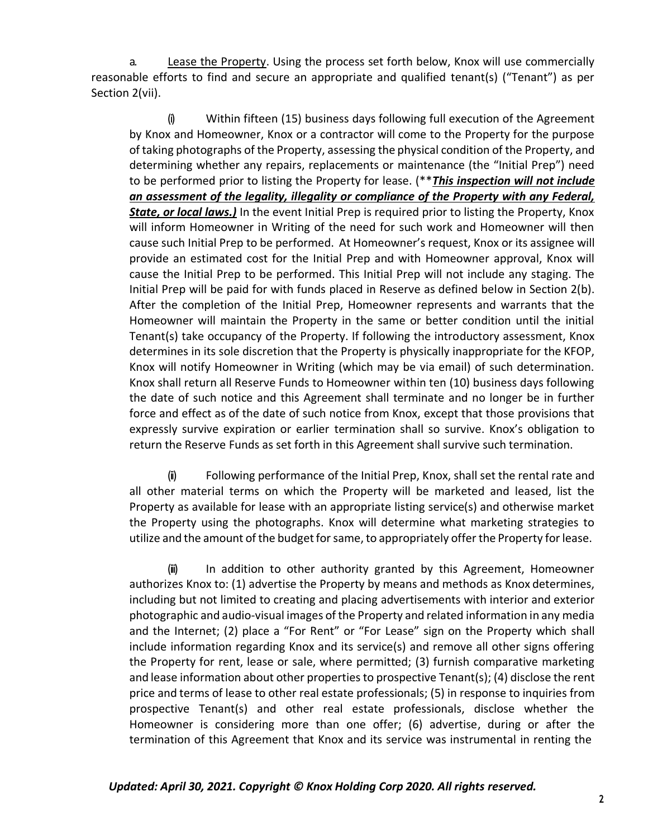a. Lease the Property. Using the process set forth below, Knox will use commercially reasonable efforts to find and secure an appropriate and qualified tenant(s) ("Tenant") as per Section 2(vii).

(i) Within fifteen (15) business days following full execution of the Agreement by Knox and Homeowner, Knox or a contractor will come to the Property for the purpose of taking photographs of the Property, assessing the physical condition of the Property, and determining whether any repairs, replacements or maintenance (the "Initial Prep") need to be performed prior to listing the Property for lease. (\*\**This inspection will not include an assessment of the legality, illegality or compliance of the Property with any Federal, State, or local laws.)* In the event Initial Prep is required prior to listing the Property, Knox will inform Homeowner in Writing of the need for such work and Homeowner will then cause such Initial Prep to be performed. At Homeowner's request, Knox or its assignee will provide an estimated cost for the Initial Prep and with Homeowner approval, Knox will cause the Initial Prep to be performed. This Initial Prep will not include any staging. The Initial Prep will be paid for with funds placed in Reserve as defined below in Section 2(b). After the completion of the Initial Prep, Homeowner represents and warrants that the Homeowner will maintain the Property in the same or better condition until the initial Tenant(s) take occupancy of the Property. If following the introductory assessment, Knox determines in its sole discretion that the Property is physically inappropriate for the KFOP, Knox will notify Homeowner in Writing (which may be via email) of such determination. Knox shall return all Reserve Funds to Homeowner within ten (10) business days following the date of such notice and this Agreement shall terminate and no longer be in further force and effect as of the date of such notice from Knox, except that those provisions that expressly survive expiration or earlier termination shall so survive. Knox's obligation to return the Reserve Funds as set forth in this Agreement shall survive such termination.

(ii) Following performance of the Initial Prep, Knox, shall set the rental rate and all other material terms on which the Property will be marketed and leased, list the Property as available for lease with an appropriate listing service(s) and otherwise market the Property using the photographs. Knox will determine what marketing strategies to utilize and the amount of the budget for same, to appropriately offer the Property for lease.

(iii) In addition to other authority granted by this Agreement, Homeowner authorizes Knox to: (1) advertise the Property by means and methods as Knox determines, including but not limited to creating and placing advertisements with interior and exterior photographic and audio-visual images of the Property and related information in any media and the Internet; (2) place a "For Rent" or "For Lease" sign on the Property which shall include information regarding Knox and its service(s) and remove all other signs offering the Property for rent, lease or sale, where permitted; (3) furnish comparative marketing and lease information about other propertiesto prospective Tenant(s); (4) disclose the rent price and terms of lease to other real estate professionals; (5) in response to inquiries from prospective Tenant(s) and other real estate professionals, disclose whether the Homeowner is considering more than one offer; (6) advertise, during or after the termination of this Agreement that Knox and its service was instrumental in renting the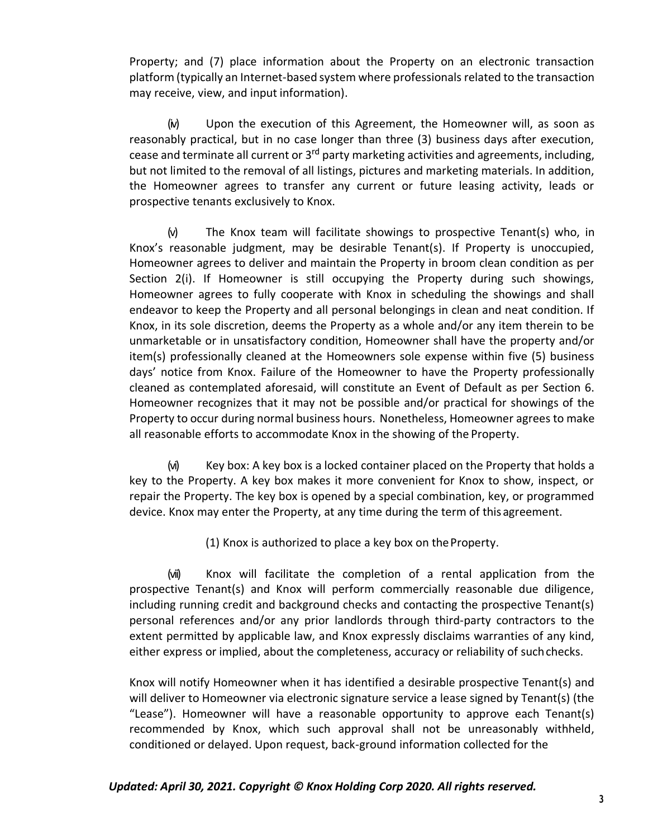Property; and (7) place information about the Property on an electronic transaction platform (typically an Internet-based system where professionals related to the transaction may receive, view, and input information).

(iv) Upon the execution of this Agreement, the Homeowner will, as soon as reasonably practical, but in no case longer than three (3) business days after execution, cease and terminate all current or 3<sup>rd</sup> party marketing activities and agreements, including, but not limited to the removal of all listings, pictures and marketing materials. In addition, the Homeowner agrees to transfer any current or future leasing activity, leads or prospective tenants exclusively to Knox.

(v) The Knox team will facilitate showings to prospective Tenant(s) who, in Knox's reasonable judgment, may be desirable Tenant(s). If Property is unoccupied, Homeowner agrees to deliver and maintain the Property in broom clean condition as per Section 2(i). If Homeowner is still occupying the Property during such showings, Homeowner agrees to fully cooperate with Knox in scheduling the showings and shall endeavor to keep the Property and all personal belongings in clean and neat condition. If Knox, in its sole discretion, deems the Property as a whole and/or any item therein to be unmarketable or in unsatisfactory condition, Homeowner shall have the property and/or item(s) professionally cleaned at the Homeowners sole expense within five (5) business days' notice from Knox. Failure of the Homeowner to have the Property professionally cleaned as contemplated aforesaid, will constitute an Event of Default as per Section 6. Homeowner recognizes that it may not be possible and/or practical for showings of the Property to occur during normal business hours. Nonetheless, Homeowner agrees to make all reasonable efforts to accommodate Knox in the showing of the Property.

(vi) Key box: A key box is a locked container placed on the Property that holds a key to the Property. A key box makes it more convenient for Knox to show, inspect, or repair the Property. The key box is opened by a special combination, key, or programmed device. Knox may enter the Property, at any time during the term of this agreement.

(1) Knox is authorized to place a key box on theProperty.

(vii) Knox will facilitate the completion of a rental application from the prospective Tenant(s) and Knox will perform commercially reasonable due diligence, including running credit and background checks and contacting the prospective Tenant(s) personal references and/or any prior landlords through third-party contractors to the extent permitted by applicable law, and Knox expressly disclaims warranties of any kind, either express or implied, about the completeness, accuracy or reliability of suchchecks.

Knox will notify Homeowner when it has identified a desirable prospective Tenant(s) and will deliver to Homeowner via electronic signature service a lease signed by Tenant(s) (the "Lease"). Homeowner will have a reasonable opportunity to approve each Tenant(s) recommended by Knox, which such approval shall not be unreasonably withheld, conditioned or delayed. Upon request, back-ground information collected for the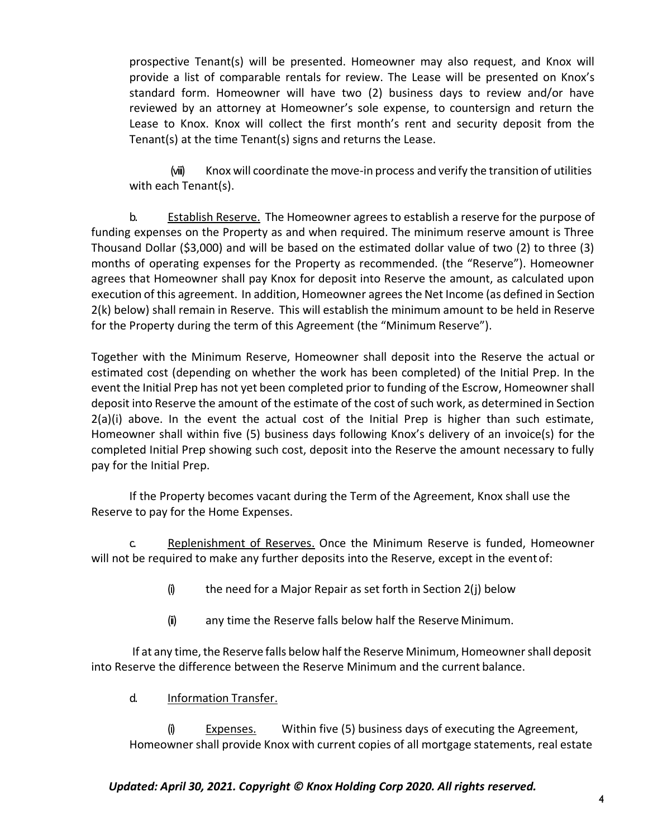prospective Tenant(s) will be presented. Homeowner may also request, and Knox will provide a list of comparable rentals for review. The Lease will be presented on Knox's standard form. Homeowner will have two (2) business days to review and/or have reviewed by an attorney at Homeowner's sole expense, to countersign and return the Lease to Knox. Knox will collect the first month's rent and security deposit from the Tenant(s) at the time Tenant(s) signs and returns the Lease.

(viii) Knox will coordinate the move-in process and verify the transition of utilities with each Tenant(s).

b. Establish Reserve. The Homeowner agrees to establish a reserve for the purpose of funding expenses on the Property as and when required. The minimum reserve amount is Three Thousand Dollar (\$3,000) and will be based on the estimated dollar value of two (2) to three (3) months of operating expenses for the Property as recommended. (the "Reserve"). Homeowner agrees that Homeowner shall pay Knox for deposit into Reserve the amount, as calculated upon execution of this agreement. In addition, Homeowner agrees the Net Income (as defined in Section 2(k) below) shall remain in Reserve. This will establish the minimum amount to be held in Reserve for the Property during the term of this Agreement (the "Minimum Reserve").

Together with the Minimum Reserve, Homeowner shall deposit into the Reserve the actual or estimated cost (depending on whether the work has been completed) of the Initial Prep. In the event the Initial Prep has not yet been completed prior to funding of the Escrow, Homeowner shall deposit into Reserve the amount of the estimate of the cost of such work, as determined in Section  $2(a)(i)$  above. In the event the actual cost of the Initial Prep is higher than such estimate, Homeowner shall within five (5) business days following Knox's delivery of an invoice(s) for the completed Initial Prep showing such cost, deposit into the Reserve the amount necessary to fully pay for the Initial Prep.

If the Property becomes vacant during the Term of the Agreement, Knox shall use the Reserve to pay for the Home Expenses.

c. Replenishment of Reserves. Once the Minimum Reserve is funded, Homeowner will not be required to make any further deposits into the Reserve, except in the eventof:

- $(i)$  the need for a Major Repair as set forth in Section 2(j) below
- (ii) any time the Reserve falls below half the Reserve Minimum.

If at any time, the Reserve falls below half the Reserve Minimum, Homeowner shall deposit into Reserve the difference between the Reserve Minimum and the current balance.

d. Information Transfer.

(i) Expenses. Within five (5) business days of executing the Agreement, Homeowner shall provide Knox with current copies of all mortgage statements, real estate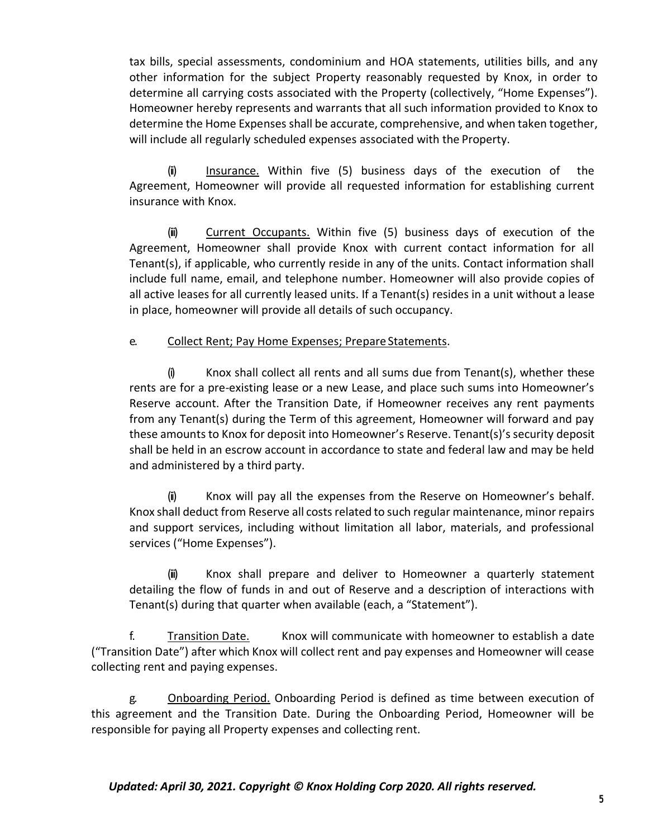tax bills, special assessments, condominium and HOA statements, utilities bills, and any other information for the subject Property reasonably requested by Knox, in order to determine all carrying costs associated with the Property (collectively, "Home Expenses"). Homeowner hereby represents and warrants that all such information provided to Knox to determine the Home Expenses shall be accurate, comprehensive, and when taken together, will include all regularly scheduled expenses associated with the Property.

(ii) Insurance. Within five (5) business days of the execution of the Agreement, Homeowner will provide all requested information for establishing current insurance with Knox.

(iii) Current Occupants. Within five (5) business days of execution of the Agreement, Homeowner shall provide Knox with current contact information for all Tenant(s), if applicable, who currently reside in any of the units. Contact information shall include full name, email, and telephone number. Homeowner will also provide copies of all active leases for all currently leased units. If a Tenant(s) resides in a unit without a lease in place, homeowner will provide all details of such occupancy.

#### e. Collect Rent; Pay Home Expenses; Prepare Statements.

 $(i)$  Knox shall collect all rents and all sums due from Tenant(s), whether these rents are for a pre-existing lease or a new Lease, and place such sums into Homeowner's Reserve account. After the Transition Date, if Homeowner receives any rent payments from any Tenant(s) during the Term of this agreement, Homeowner will forward and pay these amounts to Knox for deposit into Homeowner's Reserve. Tenant(s)'s security deposit shall be held in an escrow account in accordance to state and federal law and may be held and administered by a third party.

(ii) Knox will pay all the expenses from the Reserve on Homeowner's behalf. Knox shall deduct from Reserve all costs related to such regular maintenance, minor repairs and support services, including without limitation all labor, materials, and professional services ("Home Expenses").

(iii) Knox shall prepare and deliver to Homeowner a quarterly statement detailing the flow of funds in and out of Reserve and a description of interactions with Tenant(s) during that quarter when available (each, a "Statement").

f. Transition Date. Knox will communicate with homeowner to establish a date ("Transition Date") after which Knox will collect rent and pay expenses and Homeowner will cease collecting rent and paying expenses.

g. **Onboarding Period.** Onboarding Period is defined as time between execution of this agreement and the Transition Date. During the Onboarding Period, Homeowner will be responsible for paying all Property expenses and collecting rent.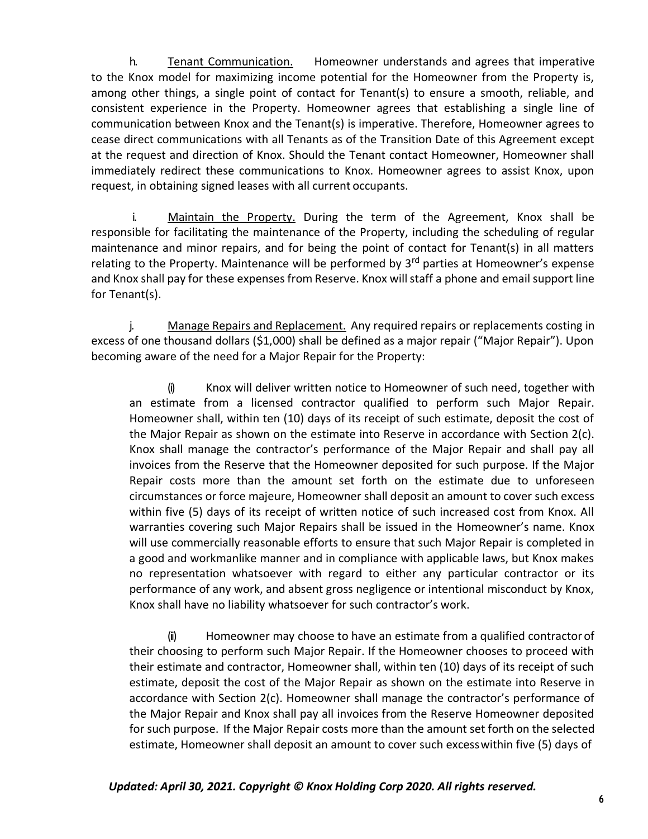h. Tenant Communication. Homeowner understands and agrees that imperative to the Knox model for maximizing income potential for the Homeowner from the Property is, among other things, a single point of contact for Tenant(s) to ensure a smooth, reliable, and consistent experience in the Property. Homeowner agrees that establishing a single line of communication between Knox and the Tenant(s) is imperative. Therefore, Homeowner agrees to cease direct communications with all Tenants as of the Transition Date of this Agreement except at the request and direction of Knox. Should the Tenant contact Homeowner, Homeowner shall immediately redirect these communications to Knox. Homeowner agrees to assist Knox, upon request, in obtaining signed leases with all current occupants.

i. Maintain the Property. During the term of the Agreement, Knox shall be responsible for facilitating the maintenance of the Property, including the scheduling of regular maintenance and minor repairs, and for being the point of contact for Tenant(s) in all matters relating to the Property. Maintenance will be performed by 3<sup>rd</sup> parties at Homeowner's expense and Knox shall pay for these expenses from Reserve. Knox will staff a phone and email support line for Tenant(s).

j. Manage Repairs and Replacement. Any required repairs or replacements costing in excess of one thousand dollars (\$1,000) shall be defined as a major repair ("Major Repair"). Upon becoming aware of the need for a Major Repair for the Property:

(i) Knox will deliver written notice to Homeowner of such need, together with an estimate from a licensed contractor qualified to perform such Major Repair. Homeowner shall, within ten (10) days of its receipt of such estimate, deposit the cost of the Major Repair as shown on the estimate into Reserve in accordance with Section 2(c). Knox shall manage the contractor's performance of the Major Repair and shall pay all invoices from the Reserve that the Homeowner deposited for such purpose. If the Major Repair costs more than the amount set forth on the estimate due to unforeseen circumstances or force majeure, Homeowner shall deposit an amount to cover such excess within five (5) days of its receipt of written notice of such increased cost from Knox. All warranties covering such Major Repairs shall be issued in the Homeowner's name. Knox will use commercially reasonable efforts to ensure that such Major Repair is completed in a good and workmanlike manner and in compliance with applicable laws, but Knox makes no representation whatsoever with regard to either any particular contractor or its performance of any work, and absent gross negligence or intentional misconduct by Knox, Knox shall have no liability whatsoever for such contractor's work.

(ii) Homeowner may choose to have an estimate from a qualified contractor of their choosing to perform such Major Repair. If the Homeowner chooses to proceed with their estimate and contractor, Homeowner shall, within ten (10) days of its receipt of such estimate, deposit the cost of the Major Repair as shown on the estimate into Reserve in accordance with Section 2(c). Homeowner shall manage the contractor's performance of the Major Repair and Knox shall pay all invoices from the Reserve Homeowner deposited for such purpose. If the Major Repair costs more than the amount set forth on the selected estimate, Homeowner shall deposit an amount to cover such excesswithin five (5) days of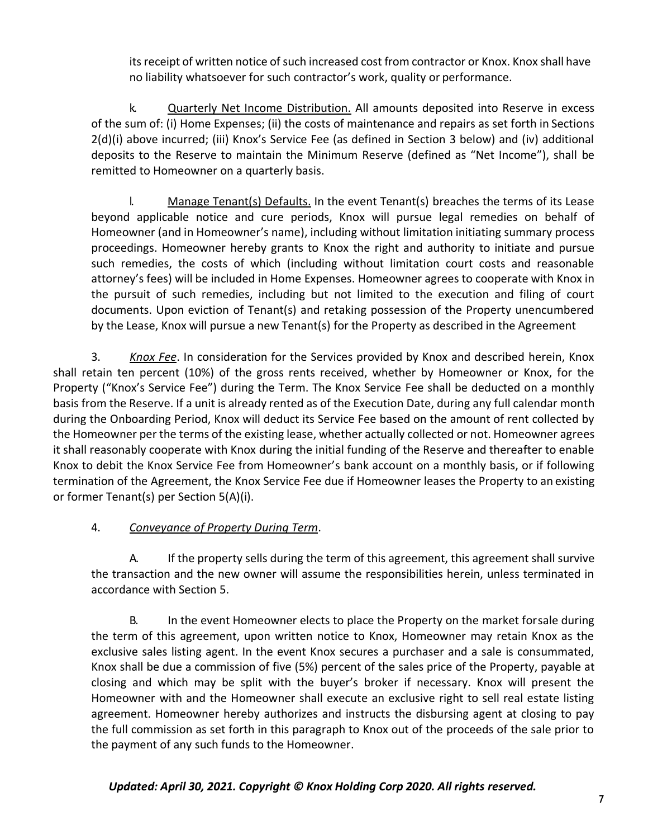its receipt of written notice of such increased cost from contractor or Knox. Knox shall have no liability whatsoever for such contractor's work, quality or performance.

k. Quarterly Net Income Distribution. All amounts deposited into Reserve in excess of the sum of: (i) Home Expenses; (ii) the costs of maintenance and repairs as set forth in Sections 2(d)(i) above incurred; (iii) Knox's Service Fee (as defined in Section 3 below) and (iv) additional deposits to the Reserve to maintain the Minimum Reserve (defined as "Net Income"), shall be remitted to Homeowner on a quarterly basis.

l. Manage Tenant(s) Defaults. In the event Tenant(s) breaches the terms of its Lease beyond applicable notice and cure periods, Knox will pursue legal remedies on behalf of Homeowner (and in Homeowner's name), including without limitation initiating summary process proceedings. Homeowner hereby grants to Knox the right and authority to initiate and pursue such remedies, the costs of which (including without limitation court costs and reasonable attorney's fees) will be included in Home Expenses. Homeowner agrees to cooperate with Knox in the pursuit of such remedies, including but not limited to the execution and filing of court documents. Upon eviction of Tenant(s) and retaking possession of the Property unencumbered by the Lease, Knox will pursue a new Tenant(s) for the Property as described in the Agreement

3. *Knox Fee*. In consideration for the Services provided by Knox and described herein, Knox shall retain ten percent (10%) of the gross rents received, whether by Homeowner or Knox, for the Property ("Knox's Service Fee") during the Term. The Knox Service Fee shall be deducted on a monthly basis from the Reserve. If a unit is already rented as of the Execution Date, during any full calendar month during the Onboarding Period, Knox will deduct its Service Fee based on the amount of rent collected by the Homeowner per the terms of the existing lease, whether actually collected or not. Homeowner agrees it shall reasonably cooperate with Knox during the initial funding of the Reserve and thereafter to enable Knox to debit the Knox Service Fee from Homeowner's bank account on a monthly basis, or if following termination of the Agreement, the Knox Service Fee due if Homeowner leases the Property to an existing or former Tenant(s) per Section 5(A)(i).

### 4. *Conveyance of Property During Term*.

A. If the property sells during the term of this agreement, this agreement shall survive the transaction and the new owner will assume the responsibilities herein, unless terminated in accordance with Section 5.

B. In the event Homeowner elects to place the Property on the market forsale during the term of this agreement, upon written notice to Knox, Homeowner may retain Knox as the exclusive sales listing agent. In the event Knox secures a purchaser and a sale is consummated, Knox shall be due a commission of five (5%) percent of the sales price of the Property, payable at closing and which may be split with the buyer's broker if necessary. Knox will present the Homeowner with and the Homeowner shall execute an exclusive right to sell real estate listing agreement. Homeowner hereby authorizes and instructs the disbursing agent at closing to pay the full commission as set forth in this paragraph to Knox out of the proceeds of the sale prior to the payment of any such funds to the Homeowner.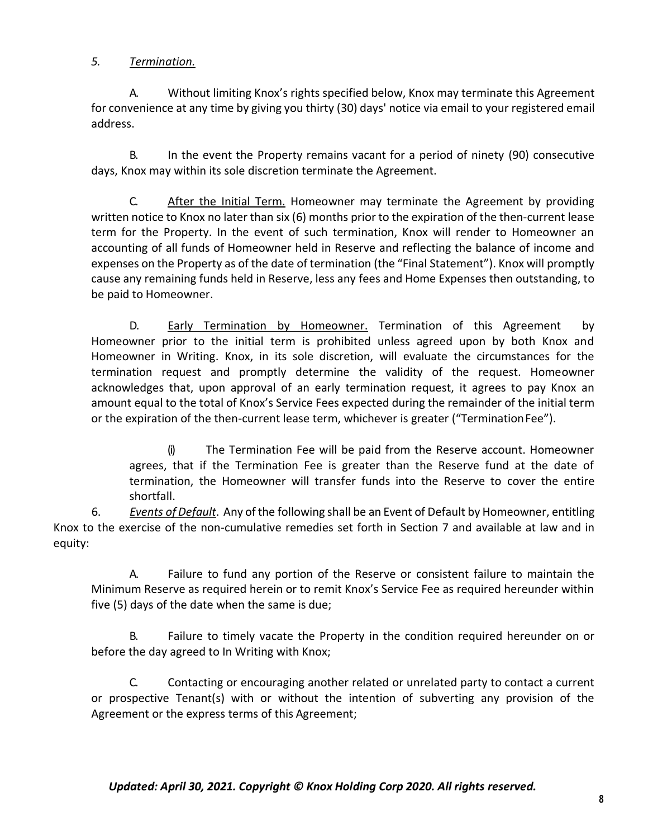### *5. Termination.*

A. Without limiting Knox's rights specified below, Knox may terminate this Agreement for convenience at any time by giving you thirty (30) days' notice via email to your registered email address.

B. In the event the Property remains vacant for a period of ninety (90) consecutive days, Knox may within its sole discretion terminate the Agreement.

C. After the Initial Term. Homeowner may terminate the Agreement by providing written notice to Knox no later than six (6) months prior to the expiration of the then-current lease term for the Property. In the event of such termination, Knox will render to Homeowner an accounting of all funds of Homeowner held in Reserve and reflecting the balance of income and expenses on the Property as of the date of termination (the "Final Statement"). Knox will promptly cause any remaining funds held in Reserve, less any fees and Home Expenses then outstanding, to be paid to Homeowner.

D. Early Termination by Homeowner. Termination of this Agreement by Homeowner prior to the initial term is prohibited unless agreed upon by both Knox and Homeowner in Writing. Knox, in its sole discretion, will evaluate the circumstances for the termination request and promptly determine the validity of the request. Homeowner acknowledges that, upon approval of an early termination request, it agrees to pay Knox an amount equal to the total of Knox's Service Fees expected during the remainder of the initial term or the expiration of the then-current lease term, whichever is greater ("Termination Fee").

(i) The Termination Fee will be paid from the Reserve account. Homeowner agrees, that if the Termination Fee is greater than the Reserve fund at the date of termination, the Homeowner will transfer funds into the Reserve to cover the entire shortfall.

6. *Events ofDefault*. Any of the following shall be an Event of Default by Homeowner, entitling Knox to the exercise of the non-cumulative remedies set forth in Section 7 and available at law and in equity:

A. Failure to fund any portion of the Reserve or consistent failure to maintain the Minimum Reserve as required herein or to remit Knox's Service Fee as required hereunder within five (5) days of the date when the same is due;

B. Failure to timely vacate the Property in the condition required hereunder on or before the day agreed to In Writing with Knox;

C. Contacting or encouraging another related or unrelated party to contact a current or prospective Tenant(s) with or without the intention of subverting any provision of the Agreement or the express terms of this Agreement;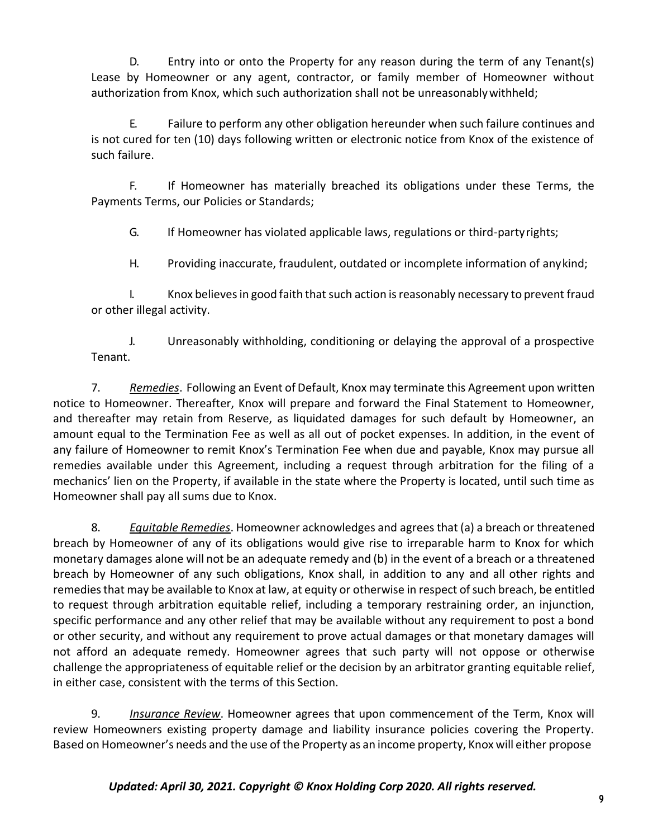D. Entry into or onto the Property for any reason during the term of any Tenant(s) Lease by Homeowner or any agent, contractor, or family member of Homeowner without authorization from Knox, which such authorization shall not be unreasonablywithheld;

E. Failure to perform any other obligation hereunder when such failure continues and is not cured for ten (10) days following written or electronic notice from Knox of the existence of such failure.

F. If Homeowner has materially breached its obligations under these Terms, the Payments Terms, our Policies or Standards;

G. If Homeowner has violated applicable laws, regulations or third-partyrights;

H. Providing inaccurate, fraudulent, outdated or incomplete information of anykind;

I. Knox believes in good faith that such action is reasonably necessary to prevent fraud or other illegal activity.

J. Unreasonably withholding, conditioning or delaying the approval of a prospective Tenant.

7. *Remedies*. Following an Event of Default, Knox may terminate this Agreement upon written notice to Homeowner. Thereafter, Knox will prepare and forward the Final Statement to Homeowner, and thereafter may retain from Reserve, as liquidated damages for such default by Homeowner, an amount equal to the Termination Fee as well as all out of pocket expenses. In addition, in the event of any failure of Homeowner to remit Knox's Termination Fee when due and payable, Knox may pursue all remedies available under this Agreement, including a request through arbitration for the filing of a mechanics' lien on the Property, if available in the state where the Property is located, until such time as Homeowner shall pay all sums due to Knox.

8. *Equitable Remedies*. Homeowner acknowledges and agrees that (a) a breach or threatened breach by Homeowner of any of its obligations would give rise to irreparable harm to Knox for which monetary damages alone will not be an adequate remedy and (b) in the event of a breach or a threatened breach by Homeowner of any such obligations, Knox shall, in addition to any and all other rights and remedies that may be available to Knox at law, at equity or otherwise in respect of such breach, be entitled to request through arbitration equitable relief, including a temporary restraining order, an injunction, specific performance and any other relief that may be available without any requirement to post a bond or other security, and without any requirement to prove actual damages or that monetary damages will not afford an adequate remedy. Homeowner agrees that such party will not oppose or otherwise challenge the appropriateness of equitable relief or the decision by an arbitrator granting equitable relief, in either case, consistent with the terms of this Section.

9. *Insurance Review*. Homeowner agrees that upon commencement of the Term, Knox will review Homeowners existing property damage and liability insurance policies covering the Property. Based on Homeowner's needs and the use of the Property as an income property, Knox will either propose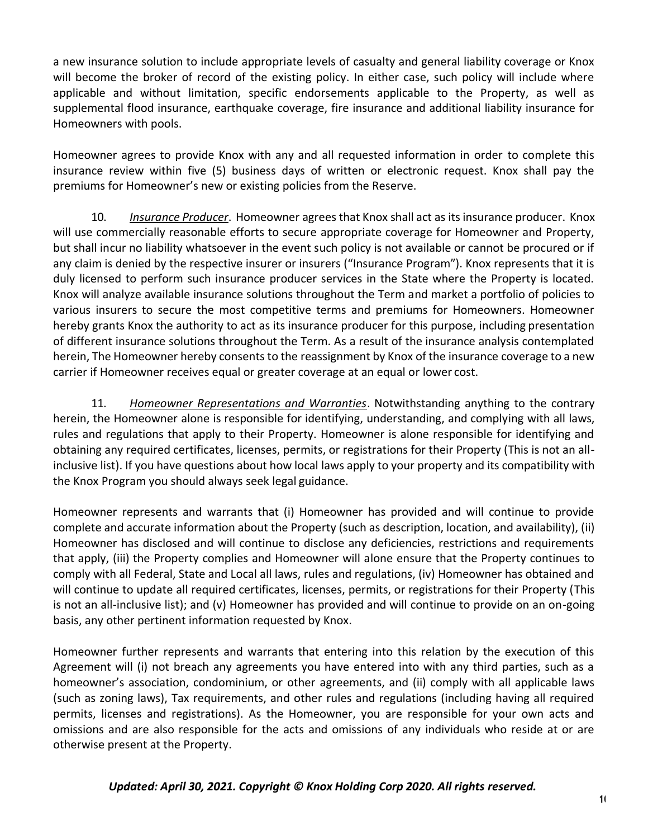a new insurance solution to include appropriate levels of casualty and general liability coverage or Knox will become the broker of record of the existing policy. In either case, such policy will include where applicable and without limitation, specific endorsements applicable to the Property, as well as supplemental flood insurance, earthquake coverage, fire insurance and additional liability insurance for Homeowners with pools.

Homeowner agrees to provide Knox with any and all requested information in order to complete this insurance review within five (5) business days of written or electronic request. Knox shall pay the premiums for Homeowner's new or existing policies from the Reserve.

10. *Insurance Producer*. Homeowner agrees that Knox shall act as itsinsurance producer. Knox will use commercially reasonable efforts to secure appropriate coverage for Homeowner and Property, but shall incur no liability whatsoever in the event such policy is not available or cannot be procured or if any claim is denied by the respective insurer or insurers ("Insurance Program"). Knox represents that it is duly licensed to perform such insurance producer services in the State where the Property is located. Knox will analyze available insurance solutions throughout the Term and market a portfolio of policies to various insurers to secure the most competitive terms and premiums for Homeowners. Homeowner hereby grants Knox the authority to act as its insurance producer for this purpose, including presentation of different insurance solutions throughout the Term. As a result of the insurance analysis contemplated herein, The Homeowner hereby consents to the reassignment by Knox of the insurance coverage to a new carrier if Homeowner receives equal or greater coverage at an equal or lower cost.

11. *Homeowner Representations and Warranties*. Notwithstanding anything to the contrary herein, the Homeowner alone is responsible for identifying, understanding, and complying with all laws, rules and regulations that apply to their Property. Homeowner is alone responsible for identifying and obtaining any required certificates, licenses, permits, or registrations for their Property (This is not an allinclusive list). If you have questions about how local laws apply to your property and its compatibility with the Knox Program you should always seek legal guidance.

Homeowner represents and warrants that (i) Homeowner has provided and will continue to provide complete and accurate information about the Property (such as description, location, and availability), (ii) Homeowner has disclosed and will continue to disclose any deficiencies, restrictions and requirements that apply, (iii) the Property complies and Homeowner will alone ensure that the Property continues to comply with all Federal, State and Local all laws, rules and regulations, (iv) Homeowner has obtained and will continue to update all required certificates, licenses, permits, or registrations for their Property (This is not an all-inclusive list); and (v) Homeowner has provided and will continue to provide on an on-going basis, any other pertinent information requested by Knox.

Homeowner further represents and warrants that entering into this relation by the execution of this Agreement will (i) not breach any agreements you have entered into with any third parties, such as a homeowner's association, condominium, or other agreements, and (ii) comply with all applicable laws (such as zoning laws), Tax requirements, and other rules and regulations (including having all required permits, licenses and registrations). As the Homeowner, you are responsible for your own acts and omissions and are also responsible for the acts and omissions of any individuals who reside at or are otherwise present at the Property.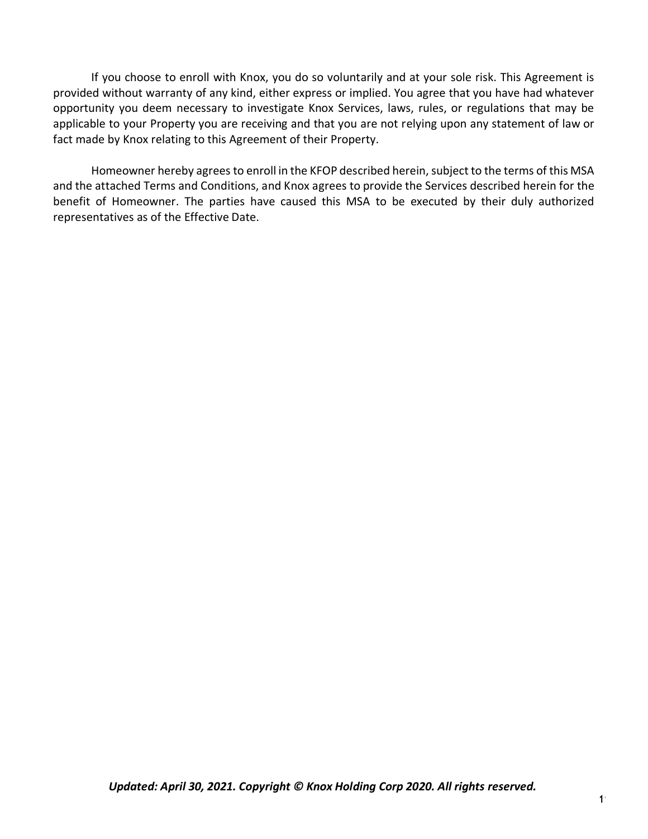If you choose to enroll with Knox, you do so voluntarily and at your sole risk. This Agreement is provided without warranty of any kind, either express or implied. You agree that you have had whatever opportunity you deem necessary to investigate Knox Services, laws, rules, or regulations that may be applicable to your Property you are receiving and that you are not relying upon any statement of law or fact made by Knox relating to this Agreement of their Property.

Homeowner hereby agrees to enroll in the KFOP described herein, subject to the terms of this MSA and the attached Terms and Conditions, and Knox agrees to provide the Services described herein for the benefit of Homeowner. The parties have caused this MSA to be executed by their duly authorized representatives as of the Effective Date.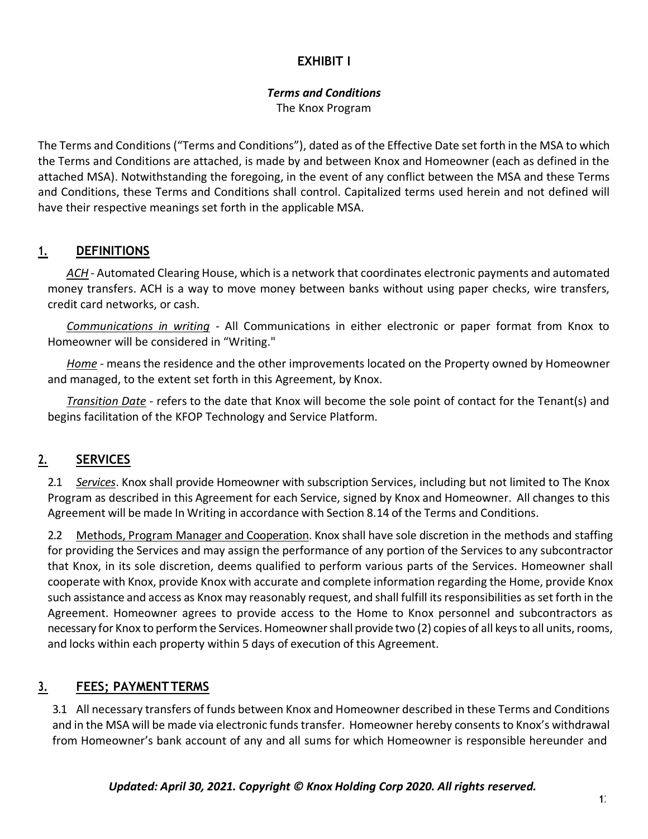### **EXHIBIT I**

# *Terms and Conditions*

The Knox Program

The Terms and Conditions("Terms and Conditions"), dated as of the Effective Date set forth in the MSA to which the Terms and Conditions are attached, is made by and between Knox and Homeowner (each as defined in the attached MSA). Notwithstanding the foregoing, in the event of any conflict between the MSA and these Terms and Conditions, these Terms and Conditions shall control. Capitalized terms used herein and not defined will have their respective meanings set forth in the applicable MSA.

### **1. DEFINITIONS**

*ACH* - Automated Clearing House, which is a network that coordinates electronic payments and automated money transfers. ACH is a way to move money between banks without using paper checks, wire transfers, credit card networks, or cash.

*Communications in writing -* All Communications in either electronic or paper format from Knox to Homeowner will be considered in "Writing."

*Home* - means the residence and the other improvements located on the Property owned by Homeowner and managed, to the extent set forth in this Agreement, by Knox.

*Transition Date* - refers to the date that Knox will become the sole point of contact for the Tenant(s) and begins facilitation of the KFOP Technology and Service Platform.

# **2. SERVICES**

2.1 *Services*. Knox shall provide Homeowner with subscription Services, including but not limited to The Knox Program as described in this Agreement for each Service, signed by Knox and Homeowner. All changes to this Agreement will be made In Writing in accordance with Section 8.14 of the Terms and Conditions.

2.2 Methods, Program Manager and Cooperation. Knox shall have sole discretion in the methods and staffing for providing the Services and may assign the performance of any portion of the Services to any subcontractor that Knox, in its sole discretion, deems qualified to perform various parts of the Services. Homeowner shall cooperate with Knox, provide Knox with accurate and complete information regarding the Home, provide Knox such assistance and access as Knox may reasonably request, and shall fulfill itsresponsibilities asset forth in the Agreement. Homeowner agrees to provide access to the Home to Knox personnel and subcontractors as necessary for Knox to perform the Services. Homeowner shall provide two (2) copies of all keys to all units, rooms, and locks within each property within 5 days of execution of this Agreement.

# **3. FEES; PAYMENTTERMS**

3.1 All necessary transfers of funds between Knox and Homeowner described in these Terms and Conditions and in the MSA will be made via electronic funds transfer. Homeowner hereby consentsto Knox's withdrawal from Homeowner's bank account of any and all sums for which Homeowner is responsible hereunder and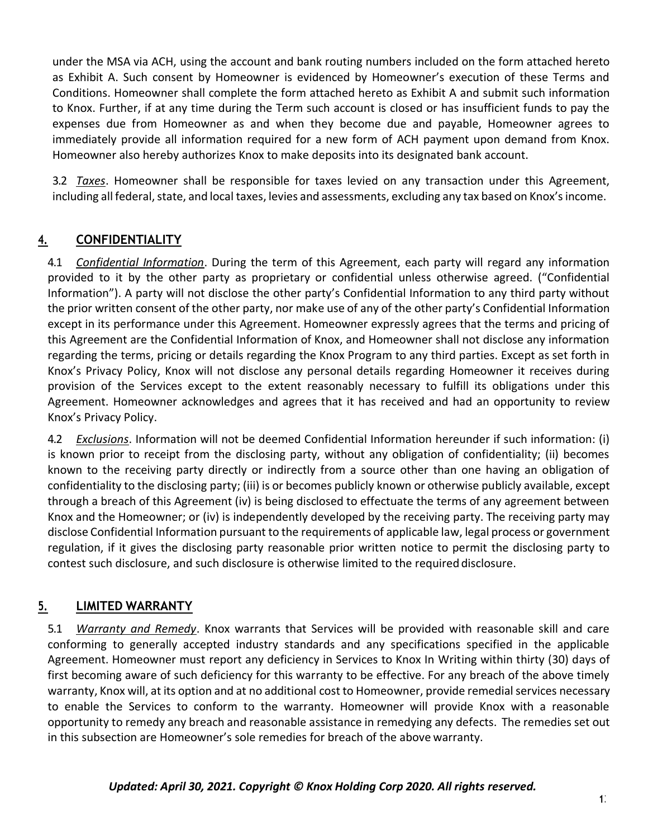under the MSA via ACH, using the account and bank routing numbers included on the form attached hereto as Exhibit A. Such consent by Homeowner is evidenced by Homeowner's execution of these Terms and Conditions. Homeowner shall complete the form attached hereto as Exhibit A and submit such information to Knox. Further, if at any time during the Term such account is closed or has insufficient funds to pay the expenses due from Homeowner as and when they become due and payable, Homeowner agrees to immediately provide all information required for a new form of ACH payment upon demand from Knox. Homeowner also hereby authorizes Knox to make deposits into its designated bank account.

3.2 *Taxes*. Homeowner shall be responsible for taxes levied on any transaction under this Agreement, including all federal, state, and local taxes, levies and assessments, excluding any tax based on Knox's income.

### **4. CONFIDENTIALITY**

4.1 *Confidential Information*. During the term of this Agreement, each party will regard any information provided to it by the other party as proprietary or confidential unless otherwise agreed. ("Confidential Information"). A party will not disclose the other party's Confidential Information to any third party without the prior written consent of the other party, nor make use of any of the other party's Confidential Information except in its performance under this Agreement. Homeowner expressly agrees that the terms and pricing of this Agreement are the Confidential Information of Knox, and Homeowner shall not disclose any information regarding the terms, pricing or details regarding the Knox Program to any third parties. Except as set forth in Knox's Privacy Policy, Knox will not disclose any personal details regarding Homeowner it receives during provision of the Services except to the extent reasonably necessary to fulfill its obligations under this Agreement. Homeowner acknowledges and agrees that it has received and had an opportunity to review Knox's Privacy Policy.

4.2 *Exclusions*. Information will not be deemed Confidential Information hereunder if such information: (i) is known prior to receipt from the disclosing party, without any obligation of confidentiality; (ii) becomes known to the receiving party directly or indirectly from a source other than one having an obligation of confidentiality to the disclosing party; (iii) is or becomes publicly known or otherwise publicly available, except through a breach of this Agreement (iv) is being disclosed to effectuate the terms of any agreement between Knox and the Homeowner; or (iv) is independently developed by the receiving party. The receiving party may disclose Confidential Information pursuant to the requirements of applicable law, legal process or government regulation, if it gives the disclosing party reasonable prior written notice to permit the disclosing party to contest such disclosure, and such disclosure is otherwise limited to the required disclosure.

### **5. LIMITED WARRANTY**

5.1 *Warranty and Remedy*. Knox warrants that Services will be provided with reasonable skill and care conforming to generally accepted industry standards and any specifications specified in the applicable Agreement. Homeowner must report any deficiency in Services to Knox In Writing within thirty (30) days of first becoming aware of such deficiency for this warranty to be effective. For any breach of the above timely warranty, Knox will, at its option and at no additional cost to Homeowner, provide remedial services necessary to enable the Services to conform to the warranty. Homeowner will provide Knox with a reasonable opportunity to remedy any breach and reasonable assistance in remedying any defects. The remedies set out in this subsection are Homeowner's sole remedies for breach of the above warranty.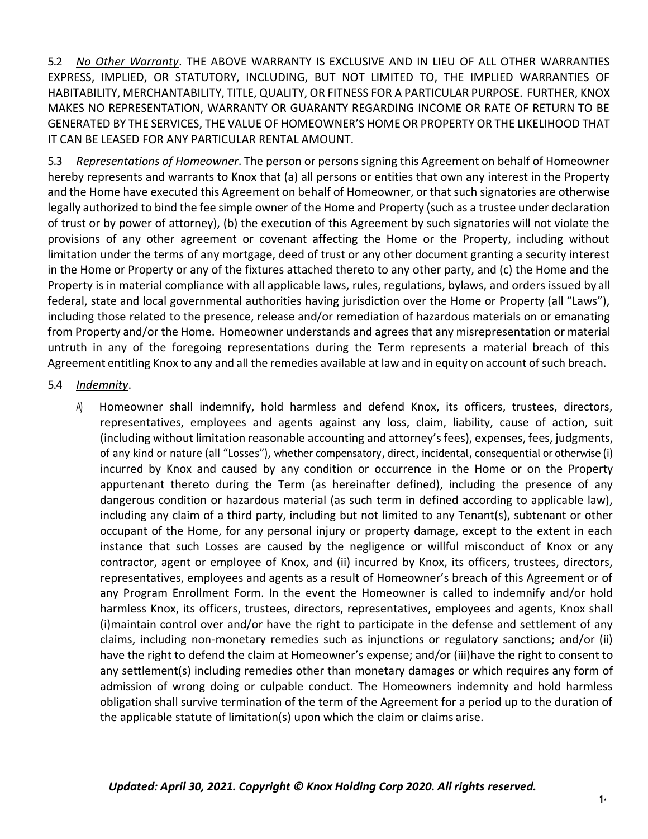5.2 *No Other Warranty*. THE ABOVE WARRANTY IS EXCLUSIVE AND IN LIEU OF ALL OTHER WARRANTIES EXPRESS, IMPLIED, OR STATUTORY, INCLUDING, BUT NOT LIMITED TO, THE IMPLIED WARRANTIES OF HABITABILITY, MERCHANTABILITY, TITLE, QUALITY, OR FITNESS FOR A PARTICULAR PURPOSE. FURTHER, KNOX MAKES NO REPRESENTATION, WARRANTY OR GUARANTY REGARDING INCOME OR RATE OF RETURN TO BE GENERATED BY THE SERVICES, THE VALUE OF HOMEOWNER'S HOME OR PROPERTY OR THE LIKELIHOOD THAT IT CAN BE LEASED FOR ANY PARTICULAR RENTAL AMOUNT.

5.3 *Representations of Homeowner*. The person or persons signing this Agreement on behalf of Homeowner hereby represents and warrants to Knox that (a) all persons or entities that own any interest in the Property and the Home have executed this Agreement on behalf of Homeowner, or that such signatories are otherwise legally authorized to bind the fee simple owner of the Home and Property (such as a trustee under declaration of trust or by power of attorney), (b) the execution of this Agreement by such signatories will not violate the provisions of any other agreement or covenant affecting the Home or the Property, including without limitation under the terms of any mortgage, deed of trust or any other document granting a security interest in the Home or Property or any of the fixtures attached thereto to any other party, and (c) the Home and the Property is in material compliance with all applicable laws, rules, regulations, bylaws, and orders issued by all federal, state and local governmental authorities having jurisdiction over the Home or Property (all "Laws"), including those related to the presence, release and/or remediation of hazardous materials on or emanating from Property and/or the Home. Homeowner understands and agrees that any misrepresentation or material untruth in any of the foregoing representations during the Term represents a material breach of this Agreement entitling Knox to any and all the remedies available at law and in equity on account of such breach.

#### 5.4 *Indemnity*.

A) Homeowner shall indemnify, hold harmless and defend Knox, its officers, trustees, directors, representatives, employees and agents against any loss, claim, liability, cause of action, suit (including without limitation reasonable accounting and attorney's fees), expenses, fees, judgments, of any kind or nature (all "Losses"), whether compensatory, direct, incidental, consequential or otherwise (i) incurred by Knox and caused by any condition or occurrence in the Home or on the Property appurtenant thereto during the Term (as hereinafter defined), including the presence of any dangerous condition or hazardous material (as such term in defined according to applicable law), including any claim of a third party, including but not limited to any Tenant(s), subtenant or other occupant of the Home, for any personal injury or property damage, except to the extent in each instance that such Losses are caused by the negligence or willful misconduct of Knox or any contractor, agent or employee of Knox, and (ii) incurred by Knox, its officers, trustees, directors, representatives, employees and agents as a result of Homeowner's breach of this Agreement or of any Program Enrollment Form. In the event the Homeowner is called to indemnify and/or hold harmless Knox, its officers, trustees, directors, representatives, employees and agents, Knox shall (i)maintain control over and/or have the right to participate in the defense and settlement of any claims, including non-monetary remedies such as injunctions or regulatory sanctions; and/or (ii) have the right to defend the claim at Homeowner's expense; and/or (iii)have the right to consent to any settlement(s) including remedies other than monetary damages or which requires any form of admission of wrong doing or culpable conduct. The Homeowners indemnity and hold harmless obligation shall survive termination of the term of the Agreement for a period up to the duration of the applicable statute of limitation(s) upon which the claim or claims arise.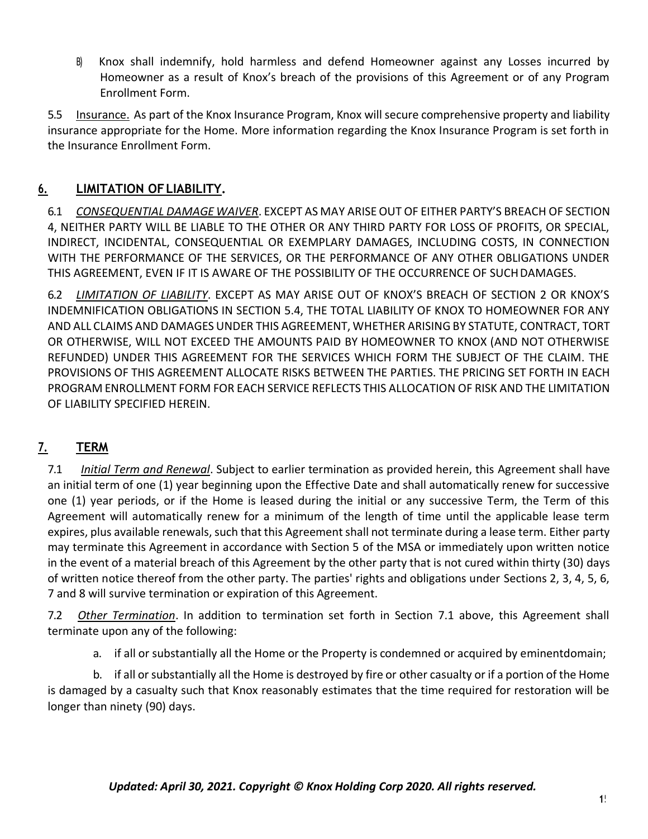B) Knox shall indemnify, hold harmless and defend Homeowner against any Losses incurred by Homeowner as a result of Knox's breach of the provisions of this Agreement or of any Program Enrollment Form.

5.5 Insurance. As part of the Knox Insurance Program, Knox will secure comprehensive property and liability insurance appropriate for the Home. More information regarding the Knox Insurance Program is set forth in the Insurance Enrollment Form.

### **6. LIMITATION OFLIABILITY.**

6.1 *CONSEQUENTIAL DAMAGE WAIVER*. EXCEPT AS MAY ARISEOUT OF EITHER PARTY'S BREACH OF SECTION 4, NEITHER PARTY WILL BE LIABLE TO THE OTHER OR ANY THIRD PARTY FOR LOSS OF PROFITS, OR SPECIAL, INDIRECT, INCIDENTAL, CONSEQUENTIAL OR EXEMPLARY DAMAGES, INCLUDING COSTS, IN CONNECTION WITH THE PERFORMANCE OF THE SERVICES, OR THE PERFORMANCE OF ANY OTHER OBLIGATIONS UNDER THIS AGREEMENT, EVEN IF IT IS AWARE OF THE POSSIBILITY OF THE OCCURRENCE OF SUCHDAMAGES.

6.2 *LIMITATION OF LIABILITY*. EXCEPT AS MAY ARISE OUT OF KNOX'S BREACH OF SECTION 2 OR KNOX'S INDEMNIFICATION OBLIGATIONS IN SECTION 5.4, THE TOTAL LIABILITY OF KNOX TO HOMEOWNER FOR ANY AND ALL CLAIMS AND DAMAGES UNDER THIS AGREEMENT, WHETHER ARISING BY STATUTE, CONTRACT, TORT OR OTHERWISE, WILL NOT EXCEED THE AMOUNTS PAID BY HOMEOWNER TO KNOX (AND NOT OTHERWISE REFUNDED) UNDER THIS AGREEMENT FOR THE SERVICES WHICH FORM THE SUBJECT OF THE CLAIM. THE PROVISIONS OF THIS AGREEMENT ALLOCATE RISKS BETWEEN THE PARTIES. THE PRICING SET FORTH IN EACH PROGRAM ENROLLMENT FORM FOR EACH SERVICE REFLECTS THIS ALLOCATION OF RISK AND THE LIMITATION OF LIABILITY SPECIFIED HEREIN.

# **7. TERM**

7.1 *Initial Term and Renewal*. Subject to earlier termination as provided herein, this Agreement shall have an initial term of one (1) year beginning upon the Effective Date and shall automatically renew for successive one (1) year periods, or if the Home is leased during the initial or any successive Term, the Term of this Agreement will automatically renew for a minimum of the length of time until the applicable lease term expires, plus available renewals, such that this Agreement shall not terminate during a lease term. Either party may terminate this Agreement in accordance with Section 5 of the MSA or immediately upon written notice in the event of a material breach of this Agreement by the other party that is not cured within thirty (30) days of written notice thereof from the other party. The parties' rights and obligations under Sections 2, 3, 4, 5, 6, 7 and 8 will survive termination or expiration of this Agreement.

7.2 *Other Termination*. In addition to termination set forth in Section 7.1 above, this Agreement shall terminate upon any of the following:

a. if all or substantially all the Home or the Property is condemned or acquired by eminentdomain;

b. if all or substantially all the Home is destroyed by fire or other casualty or if a portion of the Home is damaged by a casualty such that Knox reasonably estimates that the time required for restoration will be longer than ninety (90) days.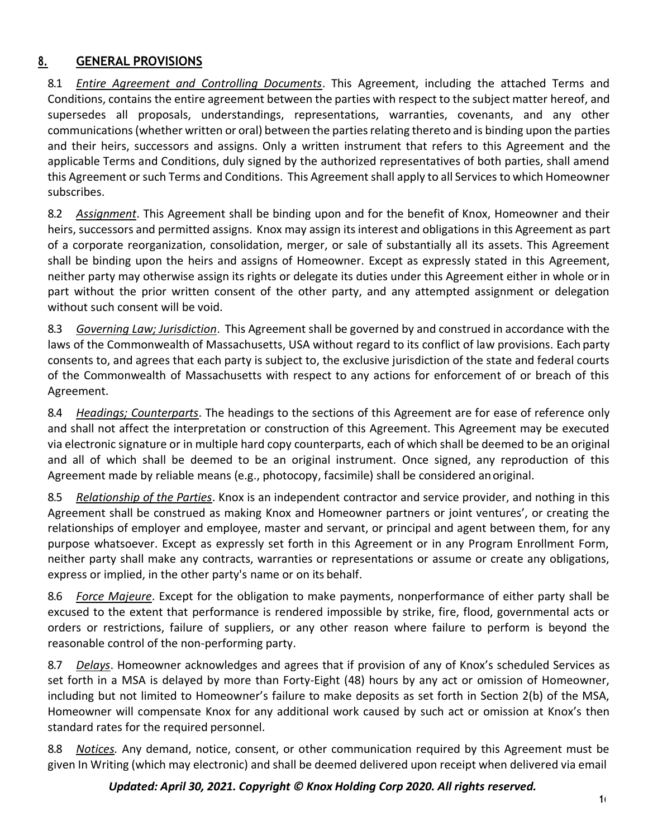### **8. GENERAL PROVISIONS**

8.1 *Entire Agreement and Controlling Documents*. This Agreement, including the attached Terms and Conditions, contains the entire agreement between the parties with respect to the subject matter hereof, and supersedes all proposals, understandings, representations, warranties, covenants, and any other communications(whether written or oral) between the partiesrelating thereto and is binding upon the parties and their heirs, successors and assigns. Only a written instrument that refers to this Agreement and the applicable Terms and Conditions, duly signed by the authorized representatives of both parties, shall amend this Agreement or such Terms and Conditions. This Agreement shall apply to all Services to which Homeowner subscribes.

8.2 *Assignment*. This Agreement shall be binding upon and for the benefit of Knox, Homeowner and their heirs, successors and permitted assigns. Knox may assign its interest and obligations in this Agreement as part of a corporate reorganization, consolidation, merger, or sale of substantially all its assets. This Agreement shall be binding upon the heirs and assigns of Homeowner. Except as expressly stated in this Agreement, neither party may otherwise assign its rights or delegate its duties under this Agreement either in whole orin part without the prior written consent of the other party, and any attempted assignment or delegation without such consent will be void.

8.3 *Governing Law; Jurisdiction*. This Agreement shall be governed by and construed in accordance with the laws of the Commonwealth of Massachusetts, USA without regard to its conflict of law provisions. Each party consents to, and agrees that each party is subject to, the exclusive jurisdiction of the state and federal courts of the Commonwealth of Massachusetts with respect to any actions for enforcement of or breach of this Agreement.

8.4 *Headings; Counterparts*. The headings to the sections of this Agreement are for ease of reference only and shall not affect the interpretation or construction of this Agreement. This Agreement may be executed via electronic signature or in multiple hard copy counterparts, each of which shall be deemed to be an original and all of which shall be deemed to be an original instrument. Once signed, any reproduction of this Agreement made by reliable means (e.g., photocopy, facsimile) shall be considered anoriginal.

8.5 *Relationship of the Parties*. Knox is an independent contractor and service provider, and nothing in this Agreement shall be construed as making Knox and Homeowner partners or joint ventures', or creating the relationships of employer and employee, master and servant, or principal and agent between them, for any purpose whatsoever. Except as expressly set forth in this Agreement or in any Program Enrollment Form, neither party shall make any contracts, warranties or representations or assume or create any obligations, express or implied, in the other party's name or on its behalf.

8.6 *Force Majeure*. Except for the obligation to make payments, nonperformance of either party shall be excused to the extent that performance is rendered impossible by strike, fire, flood, governmental acts or orders or restrictions, failure of suppliers, or any other reason where failure to perform is beyond the reasonable control of the non-performing party.

8.7 *Delays*. Homeowner acknowledges and agrees that if provision of any of Knox's scheduled Services as set forth in a MSA is delayed by more than Forty-Eight (48) hours by any act or omission of Homeowner, including but not limited to Homeowner's failure to make deposits as set forth in Section 2(b) of the MSA, Homeowner will compensate Knox for any additional work caused by such act or omission at Knox's then standard rates for the required personnel.

8.8 *Notices.* Any demand, notice, consent, or other communication required by this Agreement must be given In Writing (which may electronic) and shall be deemed delivered upon receipt when delivered via email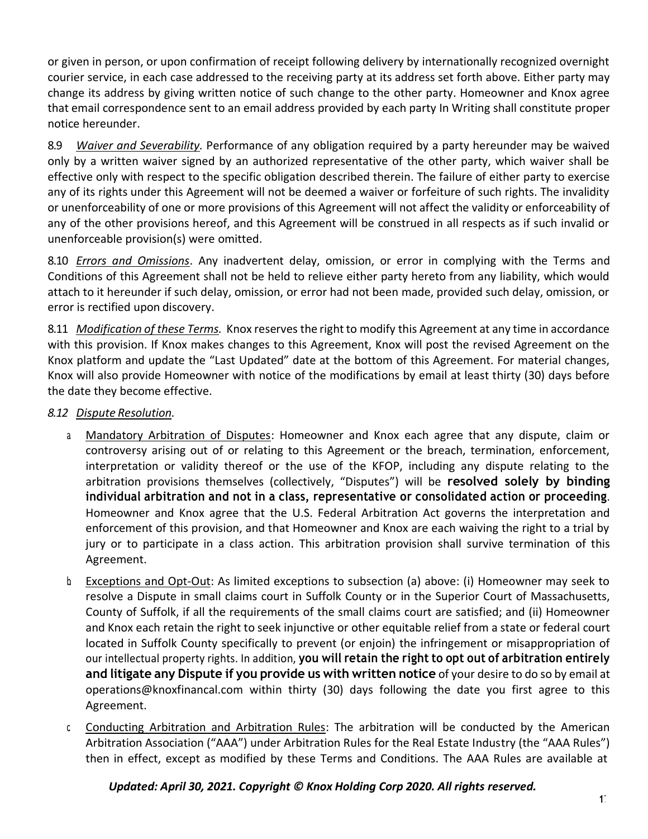or given in person, or upon confirmation of receipt following delivery by internationally recognized overnight courier service, in each case addressed to the receiving party at its address set forth above. Either party may change its address by giving written notice of such change to the other party. Homeowner and Knox agree that email correspondence sent to an email address provided by each party In Writing shall constitute proper notice hereunder.

8.9 *Waiver and Severability.* Performance of any obligation required by a party hereunder may be waived only by a written waiver signed by an authorized representative of the other party, which waiver shall be effective only with respect to the specific obligation described therein. The failure of either party to exercise any of its rights under this Agreement will not be deemed a waiver or forfeiture of such rights. The invalidity or unenforceability of one or more provisions of this Agreement will not affect the validity or enforceability of any of the other provisions hereof, and this Agreement will be construed in all respects as if such invalid or unenforceable provision(s) were omitted.

8.10 *Errors and Omissions*. Any inadvertent delay, omission, or error in complying with the Terms and Conditions of this Agreement shall not be held to relieve either party hereto from any liability, which would attach to it hereunder if such delay, omission, or error had not been made, provided such delay, omission, or error is rectified upon discovery.

8.11 *Modification of these Terms.* Knox reserves the rightto modify this Agreement at any time in accordance with this provision. If Knox makes changes to this Agreement, Knox will post the revised Agreement on the Knox platform and update the "Last Updated" date at the bottom of this Agreement. For material changes, Knox will also provide Homeowner with notice of the modifications by email at least thirty (30) days before the date they become effective.

- *8.12 Dispute Resolution.*
	- a. Mandatory Arbitration of Disputes: Homeowner and Knox each agree that any dispute, claim or controversy arising out of or relating to this Agreement or the breach, termination, enforcement, interpretation or validity thereof or the use of the KFOP, including any dispute relating to the arbitration provisions themselves (collectively, "Disputes") will be **resolved solely by binding individual arbitration and not in a class, representative or consolidated action or proceeding**. Homeowner and Knox agree that the U.S. Federal Arbitration Act governs the interpretation and enforcement of this provision, and that Homeowner and Knox are each waiving the right to a trial by jury or to participate in a class action. This arbitration provision shall survive termination of this Agreement.
	- b. Exceptions and Opt-Out: As limited exceptions to subsection (a) above: (i) Homeowner may seek to resolve a Dispute in small claims court in Suffolk County or in the Superior Court of Massachusetts, County of Suffolk, if all the requirements of the small claims court are satisfied; and (ii) Homeowner and Knox each retain the right to seek injunctive or other equitable relief from a state or federal court located in Suffolk County specifically to prevent (or enjoin) the infringement or misappropriation of our intellectual property rights. In addition, **you will retain the right to opt out of arbitration entirely and litigate any Dispute if you provide us with written notice** of your desire to do so by email a[t](mailto:operations@knoxfinancal.com) [operations@knoxfinancal.com](mailto:operations@knoxfinancal.com) within thirty (30) days following the date you first agree to this Agreement.
	- c. Conducting Arbitration and Arbitration Rules: The arbitration will be conducted by the American Arbitration Association ("AAA") under Arbitration Rules for the Real Estate Industry (the "AAA Rules") then in effect, except as modified by these Terms and Conditions. The AAA Rules are available at